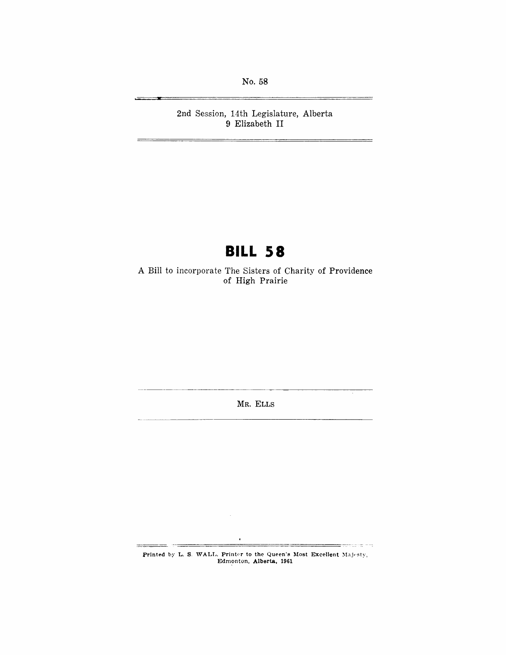No. 58

2nd Session, 14th Legislature, Alberta 9 Elizabeth **II** 

# **BILL 58**

A Bill to incorporate The Sisters of Charity of Providence of High Prairie

MR. ELLS

Printed by L. S. WALL. Printer to the Queen's Most Excellent Majesty, Edmonton, Alberta, 1961

<del>er</del>cara eg

 $\bar{z}$ 

— …

 $\epsilon$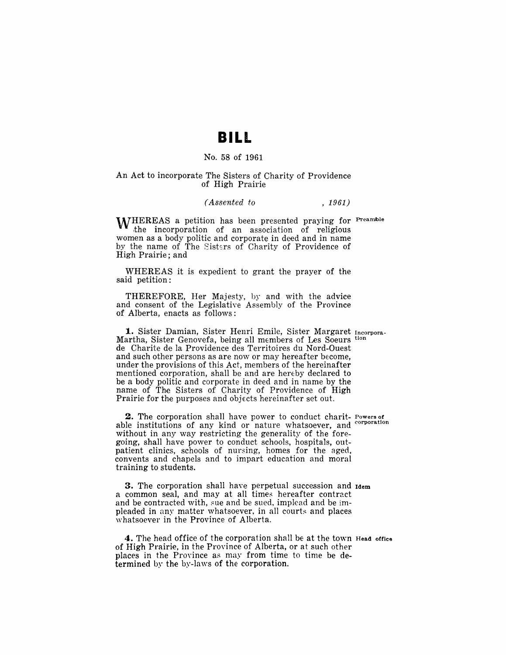## **BILL**

### No. 58 of 1961

#### An Act to incorporate The Sisters of Charity of Providence of High Prairie

#### *(Assented to* , 1961)

**WHEREAS** a petition has been presented praying for Preamble the incorporation of an association of religious women as a body politic and corporate in deed and in name by the name of The Sisters of Charity of Providence of High Prairie; and

WHEREAS it is expedient to grant the prayer of the said petition:

THEREFORE, Her Majesty, by and with the advice and consent of the Legislative Assembly of the Province of Alberta, enacts as follows:

1. Sister Damian, Sister Henri Emile, Sister Margaret Incorpora-Martha, Sister Genovefa, being all members of Les Soeurs tion de Charite de la Providence des Territoires du Nord-Ouest and such other persons as are now or may hereafter become, under the provisions of this Act, members of the hereinafter mentioned corporation, shall be and are hereby declared to be a body politic and corporate in deed and in name by the name of The Sisters of Charity of Providence of High Prairie for the purposes and objects hereinafter set out.

2. The corporation shall have power to conduct charit- Powers of able institutions of any kind or nature whatsoever, and without in any way restricting the generality of the foregoing, shall have power to conduct schools, hospitals, outpatient clinics, schools of nursing, homes for the aged, convents and chapels and to impart education and moral training to students.

3. The corporation shall have perpetual succession and Idem a common seal, and may at all times hereafter contract and be contracted with, sue and be sued, implead and be impleaded in any matter whatsoever. in all courts and places whatsoever in the Province of Alberta.

4. The head office of the corporation shall be at the town Head office of High Prairie, in the Province of Alberta, or at such other places in the Province as may from time to time be determined by the by-laws of the corporation.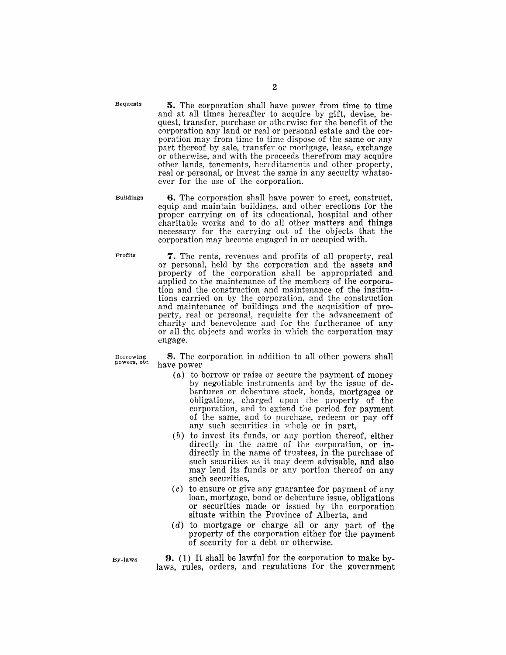Bequests

5. The corporation shall have power from time to time and at all times hereafter to acquire by gift, devise, bequest, transfer, purchase or otherwise for the benefit of the corporation any land or real or personal estate and the corporation may from time to time dispose of the same or any part thereof by sale, transfer or mortgage, lease, exchange or otherwise, and with the proceeds therefrom may acquire other lands, tenements, hereditaments and other property, real or personal, or invest the same in any security whatsoever for the use of the corporation.

Buildings

**6.** The corporation shall have power to erect, construct, equip and maintain buildings, and other erections for the proper carrying on of its educational, hospital and other charitable works and to do all other matters and things necessary for the carrying out of the objects that the corporation may become engaged in or occupied with.

Profits

7. The rents, revenues and profits of all property, real or personal, held by the corporation and the assets and property of the corporation shall be appropriated and applied to the maintenance of the members of the corporation and the construction and maintenance of the institutions carried on by the corporation, and the construction and maintenance of buildings and the acquisition of property, real or personal, requisite for the advancement of charity and benevolence and for the furtherance of any or all the objects and works in which the corporation may engage.

Borrowing powers, ete.

8. The corporation in addition to all other powers shall have power

- (a) to borrow or raise or secure the payment of money by negotiable instruments and by the issue of debentures or debenture stock, bonds, mortgages or obligations, charged upon the property of the corporation, and to extend the period for payment of the same, and to purchase, redeem or payoff any such securities in whole or in part,
- (b) to invest its funds, or any portion thereof, either directly in the name of the corporation, or indirectly in the name of trustees, in the purchase of such securities as it may deem advisable, and also may lend its funds or any portion thereof on any such securities,
- $(c)$  to ensure or give any guarantee for payment of any loan, mortgage, bond or debenture issue, obligations or securities made or issued by the corporation situate within the Province of Alberta, and
- $(d)$  to mortgage or charge all or any part of the property of the corporation either for the payment of security for a debt or otherwise.
- 9. (1) It shall be lawful for the corporation to make bylaws, rules, orders, and regulations for the government

By-laws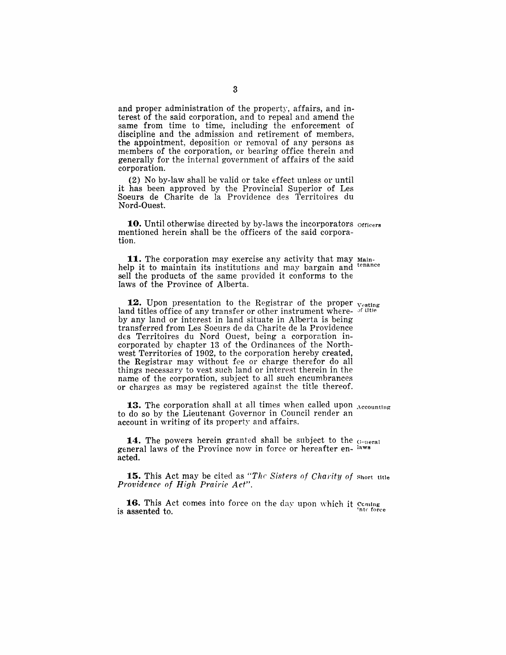and proper administration of the property, affairs, and interest of the said corporation, and to repeal and amend the same from time to time, including the enforcement of discipline and the admission and retirement of members, the appointment, deposition or removal of any persons as members of the corporation, or bearing office therein and generally for the internal government of affairs of the said corporation.

(2) No by-law shall be valid or take effect unless or until it has been approved by the Provincial Superior of Les Soeurs de Charite de la Providence des Territoires du Nord-Ouest.

10. Until otherwise directed by by-laws the incorporators officers mentioned herein shall be the officers of the said corporation.

11. The corporation may exercise any activity that may Mainhelp it to maintain its institutions and may bargain and tenance sell the products of the same provided it conforms to the laws of the Province of Alberta.

12. Upon presentation to the Registrar of the proper <sub>Vesting</sub> land titles office of any transfer or other instrument where- of little by any land or interest in land situate in Alberta is being transferred from Les Soeurs de da Charite de la Providence des Territoires du Nord Ouest, being a corporation incorporated by chapter 13 of the Ordinances of the Northwest Territories of 1902, to the corporation hereby created, the Registrar may without fee or charge therefor do all things necessary to vest such land or interest therein in the name of the corporation, subject to all such encumbrances or charges as may be registered against the title thereof.

**13.** The corporation shall at all times when called upon Accounting to do so by the Lieutenant Governor in Council render an account in writing of its property and affairs.

14. The powers herein granted shall be subject to the General general laws of the Province now in force or hereafter en- laws acted.

**15.** This Act may be cited as "The Sisters of Charity of short title *Providence of High Prairie Act".* 

16. This Act comes into force on the day upon which it coming  $\sum_{n=1}^{\infty}$  is assented to.